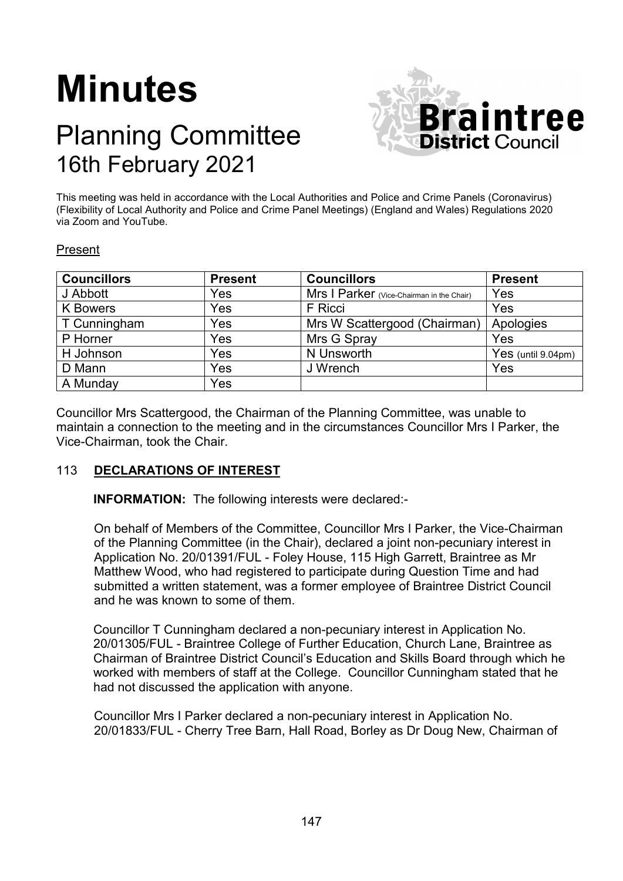# **Minutes**

# Planning Committee 16th February 2021



This meeting was held in accordance with the Local Authorities and Police and Crime Panels (Coronavirus) (Flexibility of Local Authority and Police and Crime Panel Meetings) (England and Wales) Regulations 2020 via Zoom and YouTube.

## Present

| <b>Councillors</b> | <b>Present</b> | <b>Councillors</b>                        | <b>Present</b>        |
|--------------------|----------------|-------------------------------------------|-----------------------|
| J Abbott           | Yes            | Mrs I Parker (Vice-Chairman in the Chair) | Yes                   |
| <b>K</b> Bowers    | Yes            | F Ricci                                   | Yes                   |
| T Cunningham       | Yes            | Mrs W Scattergood (Chairman)              | Apologies             |
| P Horner           | Yes            | Mrs G Spray                               | Yes                   |
| H Johnson          | Yes            | N Unsworth                                | Yes (until $9.04$ pm) |
| D Mann             | Yes            | J Wrench                                  | Yes                   |
| A Munday           | Yes            |                                           |                       |

Councillor Mrs Scattergood, the Chairman of the Planning Committee, was unable to maintain a connection to the meeting and in the circumstances Councillor Mrs I Parker, the Vice-Chairman, took the Chair.

# 113 **DECLARATIONS OF INTEREST**

**INFORMATION:** The following interests were declared:-

On behalf of Members of the Committee, Councillor Mrs I Parker, the Vice-Chairman of the Planning Committee (in the Chair), declared a joint non-pecuniary interest in Application No. 20/01391/FUL - Foley House, 115 High Garrett, Braintree as Mr Matthew Wood, who had registered to participate during Question Time and had submitted a written statement, was a former employee of Braintree District Council and he was known to some of them.

Councillor T Cunningham declared a non-pecuniary interest in Application No. 20/01305/FUL - Braintree College of Further Education, Church Lane, Braintree as Chairman of Braintree District Council's Education and Skills Board through which he worked with members of staff at the College. Councillor Cunningham stated that he had not discussed the application with anyone.

Councillor Mrs I Parker declared a non-pecuniary interest in Application No. 20/01833/FUL - Cherry Tree Barn, Hall Road, Borley as Dr Doug New, Chairman of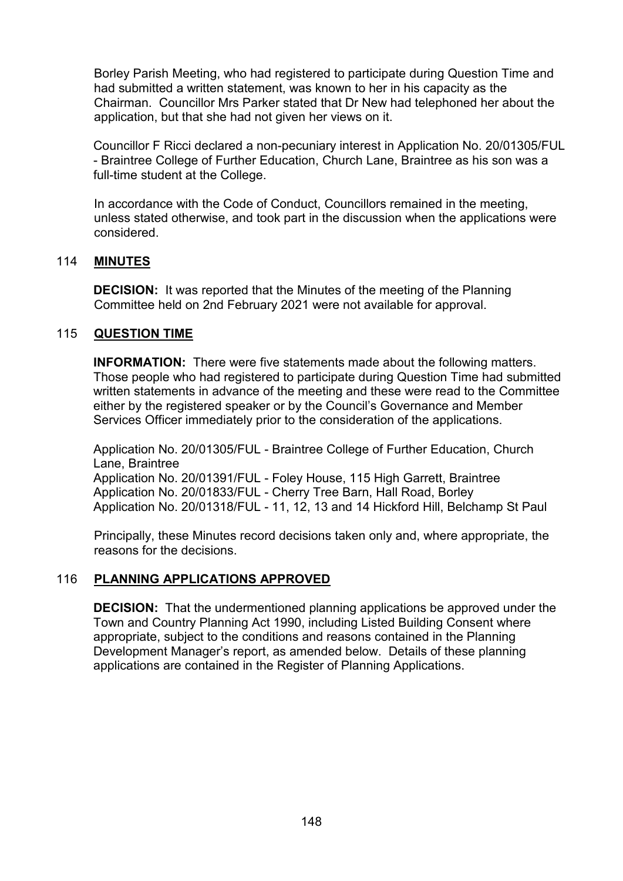Borley Parish Meeting, who had registered to participate during Question Time and had submitted a written statement, was known to her in his capacity as the Chairman. Councillor Mrs Parker stated that Dr New had telephoned her about the application, but that she had not given her views on it.

Councillor F Ricci declared a non-pecuniary interest in Application No. 20/01305/FUL - Braintree College of Further Education, Church Lane, Braintree as his son was a full-time student at the College.

In accordance with the Code of Conduct, Councillors remained in the meeting, unless stated otherwise, and took part in the discussion when the applications were considered.

# 114 **MINUTES**

**DECISION:** It was reported that the Minutes of the meeting of the Planning Committee held on 2nd February 2021 were not available for approval.

## 115 **QUESTION TIME**

**INFORMATION:** There were five statements made about the following matters. Those people who had registered to participate during Question Time had submitted written statements in advance of the meeting and these were read to the Committee either by the registered speaker or by the Council's Governance and Member Services Officer immediately prior to the consideration of the applications.

Application No. 20/01305/FUL - Braintree College of Further Education, Church Lane, Braintree Application No. 20/01391/FUL - Foley House, 115 High Garrett, Braintree Application No. 20/01833/FUL - Cherry Tree Barn, Hall Road, Borley Application No. 20/01318/FUL - 11, 12, 13 and 14 Hickford Hill, Belchamp St Paul

Principally, these Minutes record decisions taken only and, where appropriate, the reasons for the decisions.

#### 116 **PLANNING APPLICATIONS APPROVED**

**DECISION:** That the undermentioned planning applications be approved under the Town and Country Planning Act 1990, including Listed Building Consent where appropriate, subject to the conditions and reasons contained in the Planning Development Manager's report, as amended below. Details of these planning applications are contained in the Register of Planning Applications.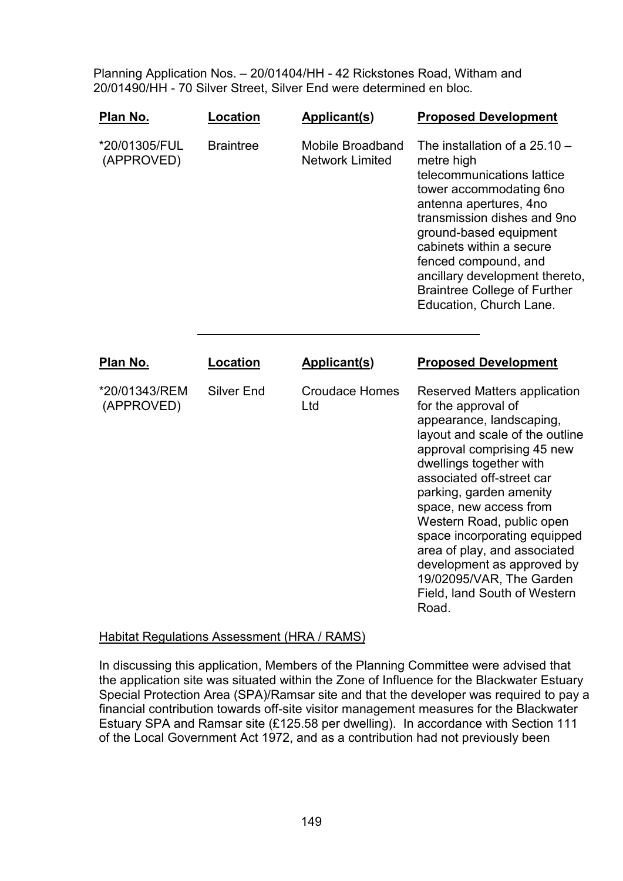Planning Application Nos. – 20/01404/HH - 42 Rickstones Road, Witham and 20/01490/HH - 70 Silver Street, Silver End were determined en bloc.

| Plan No.                    | Location          | <b>Applicant(s)</b>                               | <b>Proposed Development</b>                                                                                                                                                                                                                                                                                                                                                                                                                                   |
|-----------------------------|-------------------|---------------------------------------------------|---------------------------------------------------------------------------------------------------------------------------------------------------------------------------------------------------------------------------------------------------------------------------------------------------------------------------------------------------------------------------------------------------------------------------------------------------------------|
| *20/01305/FUL<br>(APPROVED) | <b>Braintree</b>  | <b>Mobile Broadband</b><br><b>Network Limited</b> | The installation of a $25.10 -$<br>metre high<br>telecommunications lattice<br>tower accommodating 6no<br>antenna apertures, 4no<br>transmission dishes and 9no<br>ground-based equipment<br>cabinets within a secure<br>fenced compound, and<br>ancillary development thereto,<br><b>Braintree College of Further</b><br>Education, Church Lane.                                                                                                             |
| Plan No.                    | Location          | <b>Applicant(s)</b>                               | <b>Proposed Development</b>                                                                                                                                                                                                                                                                                                                                                                                                                                   |
| *20/01343/REM<br>(APPROVED) | <b>Silver End</b> | <b>Croudace Homes</b><br>Ltd                      | Reserved Matters application<br>for the approval of<br>appearance, landscaping,<br>layout and scale of the outline<br>approval comprising 45 new<br>dwellings together with<br>associated off-street car<br>parking, garden amenity<br>space, new access from<br>Western Road, public open<br>space incorporating equipped<br>area of play, and associated<br>development as approved by<br>19/02095/VAR, The Garden<br>Field, land South of Western<br>Road. |

#### **Habitat Regulations Assessment (HRA / RAMS)**

In discussing this application, Members of the Planning Committee were advised that the application site was situated within the Zone of Influence for the Blackwater Estuary Special Protection Area (SPA)/Ramsar site and that the developer was required to pay a financial contribution towards off-site visitor management measures for the Blackwater Estuary SPA and Ramsar site (£125.58 per dwelling). In accordance with Section 111 of the Local Government Act 1972, and as a contribution had not previously been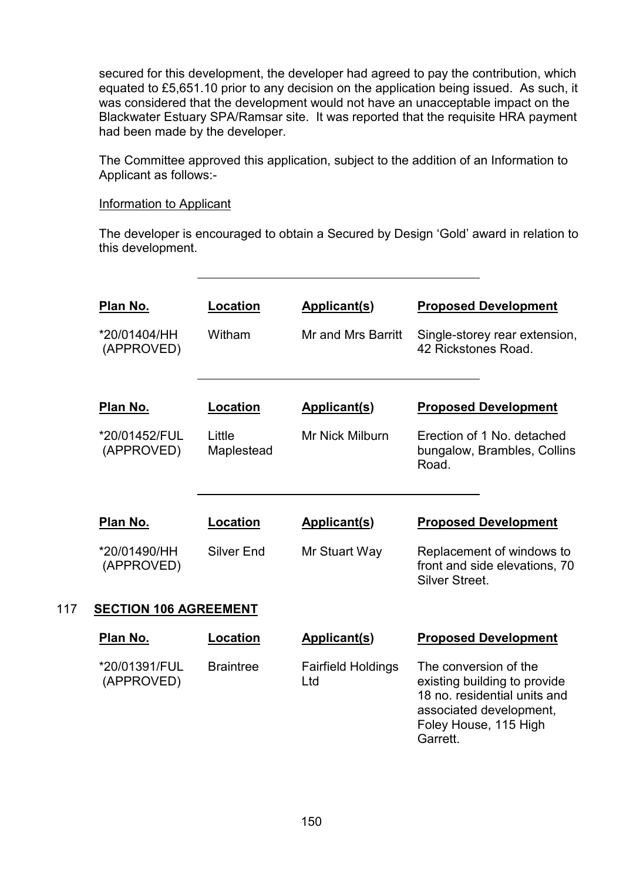secured for this development, the developer had agreed to pay the contribution, which equated to £5,651.10 prior to any decision on the application being issued. As such, it was considered that the development would not have an unacceptable impact on the Blackwater Estuary SPA/Ramsar site. It was reported that the requisite HRA payment had been made by the developer.

The Committee approved this application, subject to the addition of an Information to Applicant as follows:-

#### Information to Applicant

The developer is encouraged to obtain a Secured by Design 'Gold' award in relation to this development.

|     | Plan No.                     | Location             | <b>Applicant(s)</b>              | <b>Proposed Development</b>                                                                                                                           |  |  |
|-----|------------------------------|----------------------|----------------------------------|-------------------------------------------------------------------------------------------------------------------------------------------------------|--|--|
|     | *20/01404/HH<br>(APPROVED)   | Witham               | Mr and Mrs Barritt               | Single-storey rear extension,<br>42 Rickstones Road.                                                                                                  |  |  |
|     | Plan No.                     | Location             | <b>Applicant(s)</b>              | <b>Proposed Development</b>                                                                                                                           |  |  |
|     | *20/01452/FUL<br>(APPROVED)  | Little<br>Maplestead | <b>Mr Nick Milburn</b>           | Erection of 1 No. detached<br>bungalow, Brambles, Collins<br>Road.                                                                                    |  |  |
|     | Plan No.                     | Location             | <b>Applicant(s)</b>              | <b>Proposed Development</b>                                                                                                                           |  |  |
|     | *20/01490/HH<br>(APPROVED)   | <b>Silver End</b>    | Mr Stuart Way                    | Replacement of windows to<br>front and side elevations, 70<br>Silver Street.                                                                          |  |  |
| 117 | <b>SECTION 106 AGREEMENT</b> |                      |                                  |                                                                                                                                                       |  |  |
|     | Plan No.                     | Location             | <b>Applicant(s)</b>              | <b>Proposed Development</b>                                                                                                                           |  |  |
|     | *20/01391/FUL<br>(APPROVED)  | <b>Braintree</b>     | <b>Fairfield Holdings</b><br>Ltd | The conversion of the<br>existing building to provide<br>18 no. residential units and<br>associated development,<br>Foley House, 115 High<br>Garrett. |  |  |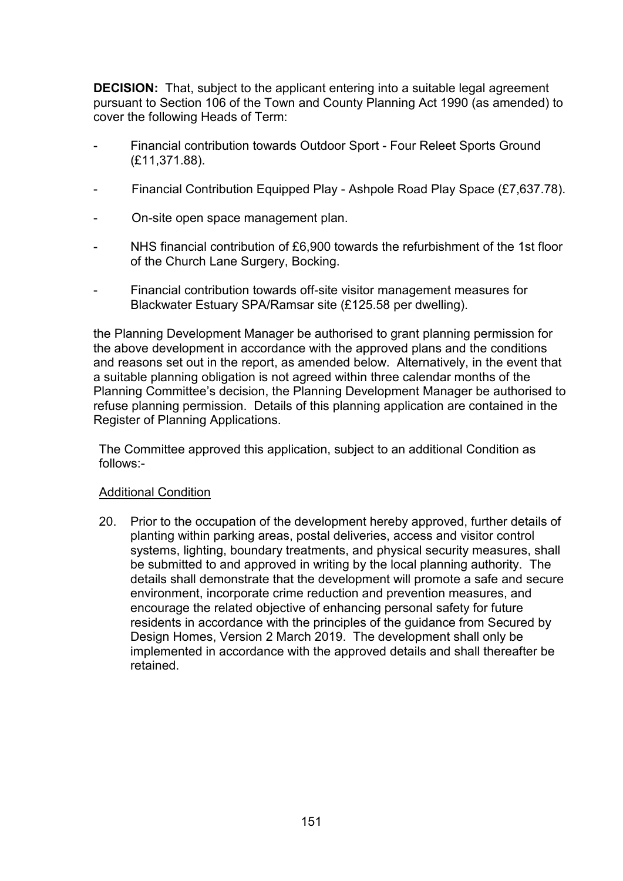**DECISION:** That, subject to the applicant entering into a suitable legal agreement pursuant to Section 106 of the Town and County Planning Act 1990 (as amended) to cover the following Heads of Term:

- Financial contribution towards Outdoor Sport Four Releet Sports Ground (£11,371.88).
- Financial Contribution Equipped Play Ashpole Road Play Space (£7,637.78).
- On-site open space management plan.
- NHS financial contribution of £6,900 towards the refurbishment of the 1st floor of the Church Lane Surgery, Bocking.
- Financial contribution towards off-site visitor management measures for Blackwater Estuary SPA/Ramsar site (£125.58 per dwelling).

the Planning Development Manager be authorised to grant planning permission for the above development in accordance with the approved plans and the conditions and reasons set out in the report, as amended below. Alternatively, in the event that a suitable planning obligation is not agreed within three calendar months of the Planning Committee's decision, the Planning Development Manager be authorised to refuse planning permission. Details of this planning application are contained in the Register of Planning Applications.

The Committee approved this application, subject to an additional Condition as follows:-

#### Additional Condition

20. Prior to the occupation of the development hereby approved, further details of planting within parking areas, postal deliveries, access and visitor control systems, lighting, boundary treatments, and physical security measures, shall be submitted to and approved in writing by the local planning authority. The details shall demonstrate that the development will promote a safe and secure environment, incorporate crime reduction and prevention measures, and encourage the related objective of enhancing personal safety for future residents in accordance with the principles of the guidance from Secured by Design Homes, Version 2 March 2019. The development shall only be implemented in accordance with the approved details and shall thereafter be retained.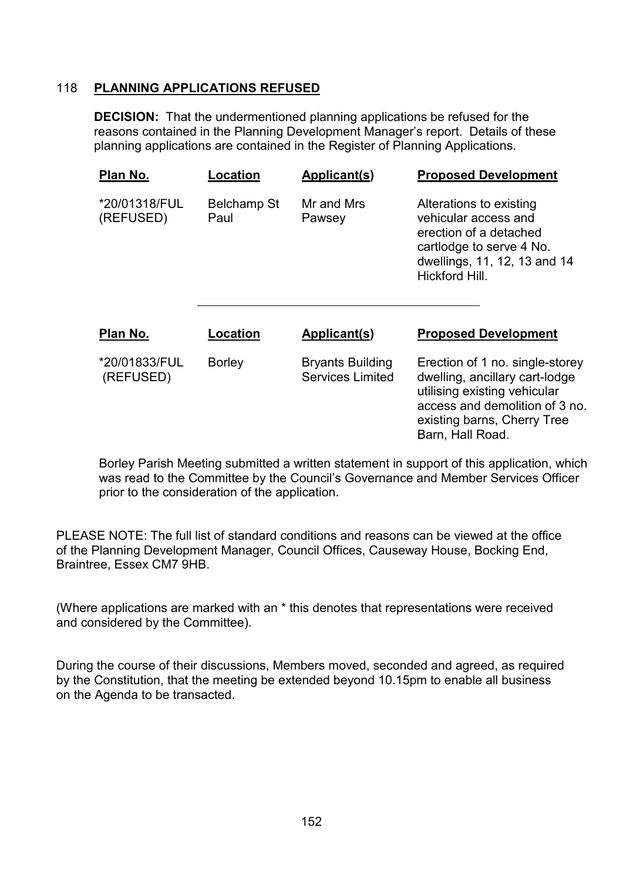# 118 **PLANNING APPLICATIONS REFUSED**

**DECISION:** That the undermentioned planning applications be refused for the reasons contained in the Planning Development Manager's report. Details of these planning applications are contained in the Register of Planning Applications.

| Plan No.                   | Location                   | Applicant(s)                                       | <b>Proposed Development</b>                                                                                                                                                            |
|----------------------------|----------------------------|----------------------------------------------------|----------------------------------------------------------------------------------------------------------------------------------------------------------------------------------------|
| *20/01318/FUL<br>(REFUSED) | <b>Belchamp St</b><br>Paul | Mr and Mrs<br>Pawsey                               | Alterations to existing<br>vehicular access and<br>erection of a detached<br>cartlodge to serve 4 No.<br>dwellings, 11, 12, 13 and 14<br>Hickford Hill.                                |
| Plan No.                   | Location                   | Applicant(s)                                       | <b>Proposed Development</b>                                                                                                                                                            |
| *20/01833/FUL<br>(REFUSED) | <b>Borley</b>              | <b>Bryants Building</b><br><b>Services Limited</b> | Erection of 1 no. single-storey<br>dwelling, ancillary cart-lodge<br>utilising existing vehicular<br>access and demolition of 3 no.<br>existing barns, Cherry Tree<br>Barn, Hall Road. |

Borley Parish Meeting submitted a written statement in support of this application, which was read to the Committee by the Council's Governance and Member Services Officer prior to the consideration of the application.

PLEASE NOTE: The full list of standard conditions and reasons can be viewed at the office of the Planning Development Manager, Council Offices, Causeway House, Bocking End, Braintree, Essex CM7 9HB.

(Where applications are marked with an \* this denotes that representations were received and considered by the Committee).

During the course of their discussions, Members moved, seconded and agreed, as required by the Constitution, that the meeting be extended beyond 10.15pm to enable all business on the Agenda to be transacted.